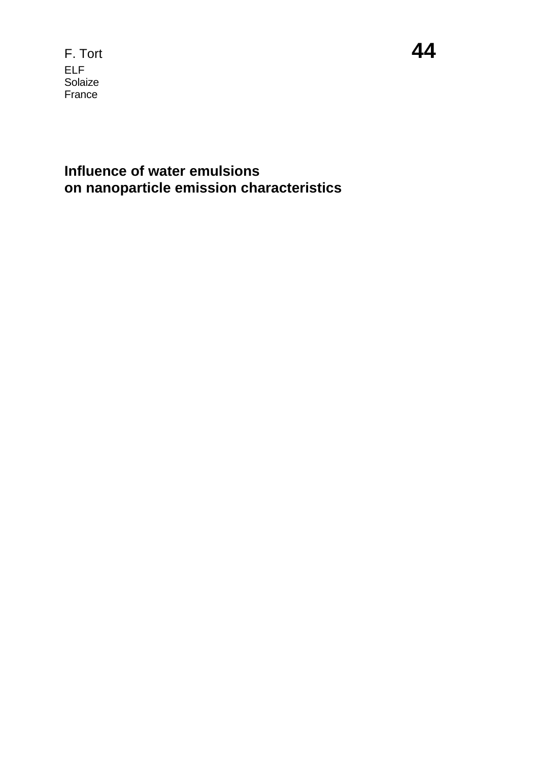F. Tort **44** ELF Solaize France

#### **Influence of water emulsions on nanoparticle emission characteristics**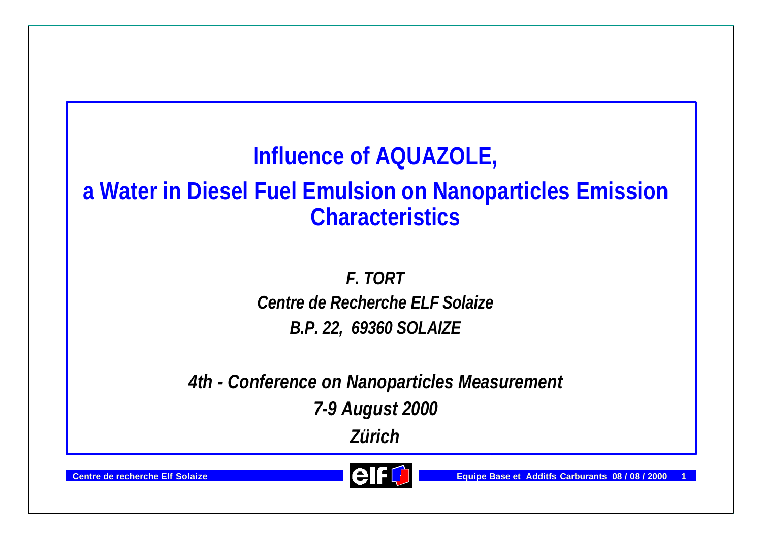# **Influence of AQUAZOLE,**

### **a Water in Diesel Fuel Emulsion on Nanoparticles Emission Characteristics**

*F. TORT Centre de Recherche ELF Solaize B.P. 22, 69360 SOLAIZE*

*4th - Conference on Nanoparticles Measurement*

*7-9 August 2000*

*Zürich*



**Centre de recherche Elf Solaize Exercía en la construction de la Carburante Base et Additfs Carburants 08/08/2000**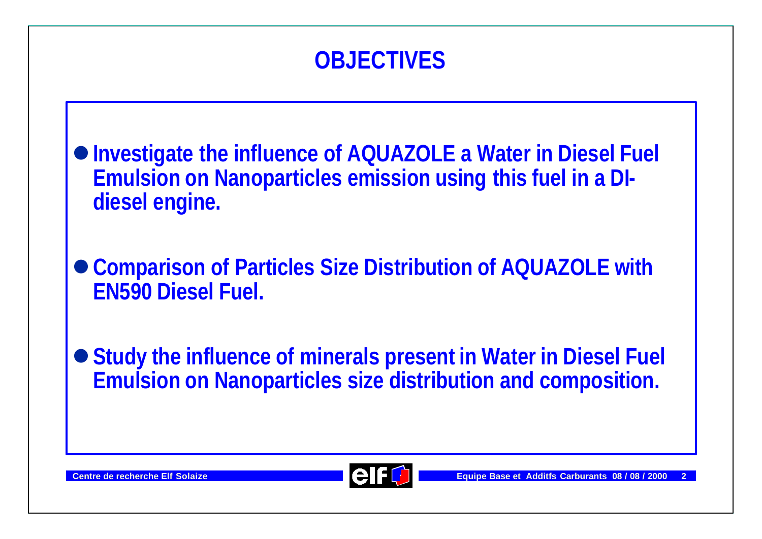

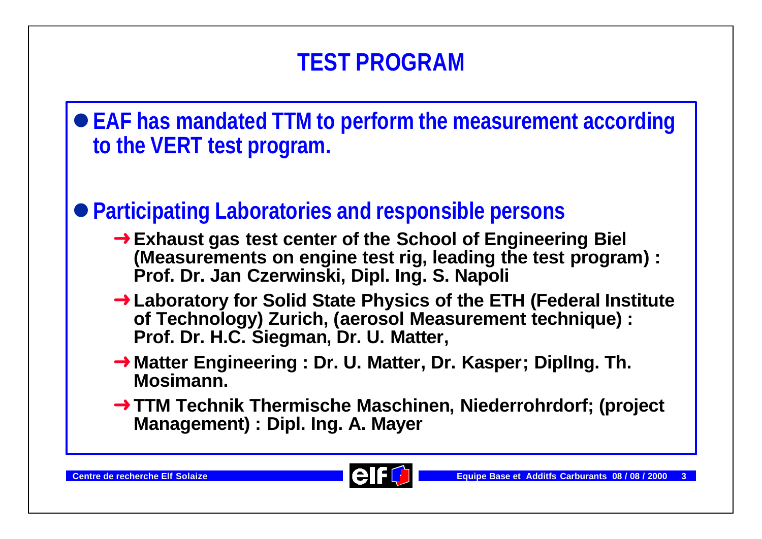l**EAF has mandated TTM to perform the measurement according to the VERT test program.**

### l**Participating Laboratories and responsible persons**

- **→ Exhaust gas test center of the School of Engineering Biel (Measurements on engine test rig, leading the test program) : Prof. Dr. Jan Czerwinski, Dipl. Ing. S. Napoli**
- **→ Laboratory for Solid State Physics of the ETH (Federal Institute** of Technology) Zurich, (aerosol Measurement technique) : **Prof. Dr. H.C. Siegman, Dr. U. Matter,**
- **→ Matter Engineering : Dr. U. Matter, Dr. Kasper; Dipling. Th. Mosimann.**
- → TTM Technik Thermische Maschinen, Niederrohrdorf; (project **Management) : Dipl. Ing. A. Mayer**

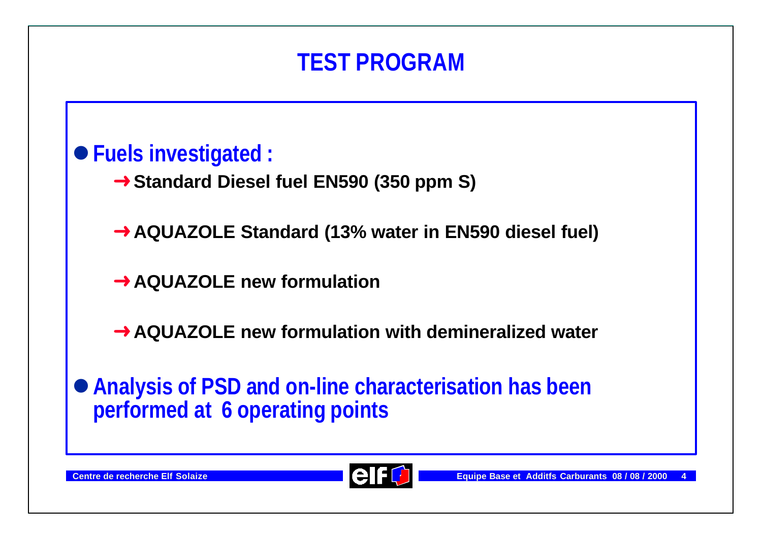#### l**Fuels investigated :**

**→ Standard Diesel fuel EN590 (350 ppm S)** 

**→ AQUAZOLE Standard (13% water in EN590 diesel fuel)** 

**→ AQUAZOLE new formulation** 

**→ AQUAZOLE new formulation with demineralized water** 

l**Analysis of PSD and on-line characterisation has been performed at 6 operating points**

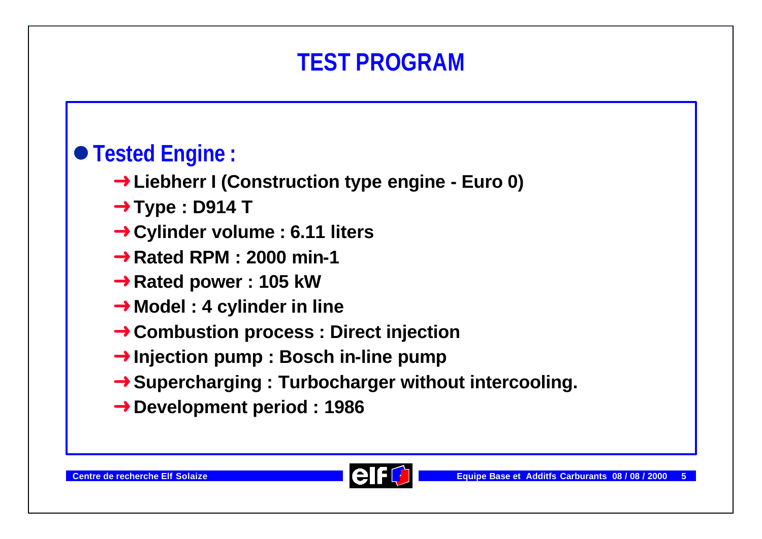# l**Tested Engine :**

- **→ Liebherr I (Construction type engine Euro 0)**
- **→ Type : D914 T**
- **→ Cylinder volume : 6.11 liters**
- **→ Rated RPM : 2000 min-1**
- **→ Rated power : 105 kW**
- **→ Model : 4 cylinder in line**
- **→ Combustion process : Direct injection**
- **→ Injection pump : Bosch in-line pump**
- **→ Supercharging : Turbocharger without intercooling.**
- **→ Development period : 1986**

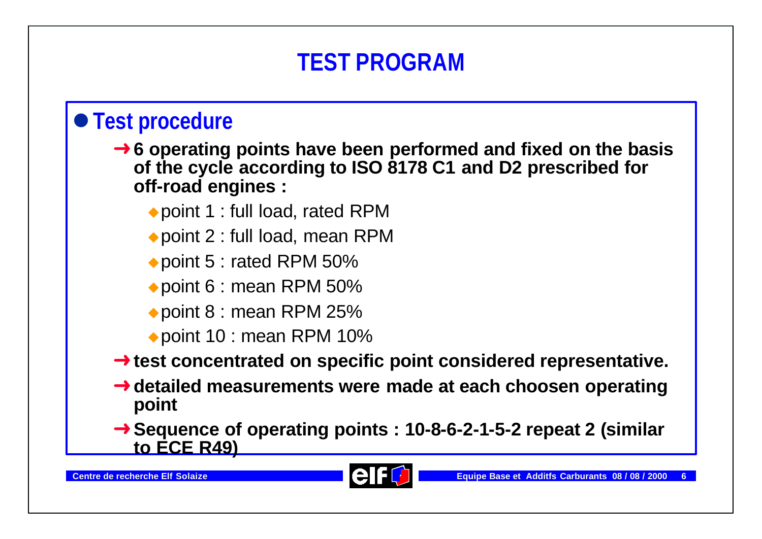### $\bullet$  **Test procedure**

- **→ 6 operating points have been performed and fixed on the basis of the cycle according to ISO 8178 C1 and D2 prescribed for off-road engines :**
	- $\rightarrow$  point 1 : full load, rated RPM
	- $\rightarrow$  point 2 : full load, mean RPM
	- $\rightarrow$  point 5 : rated RPM 50%
	- $\rightarrow$  point 6 : mean RPM 50%
	- $\rightarrow$  point 8 : mean RPM 25%
	- point 10 : mean RPM 10%

#### **→ test concentrated on specific point considered representative.**

- **→ detailed measurements were made at each choosen operating point**
- **→ Sequence of operating points : 10-8-6-2-1-5-2 repeat 2 (similar to ECE R49)**

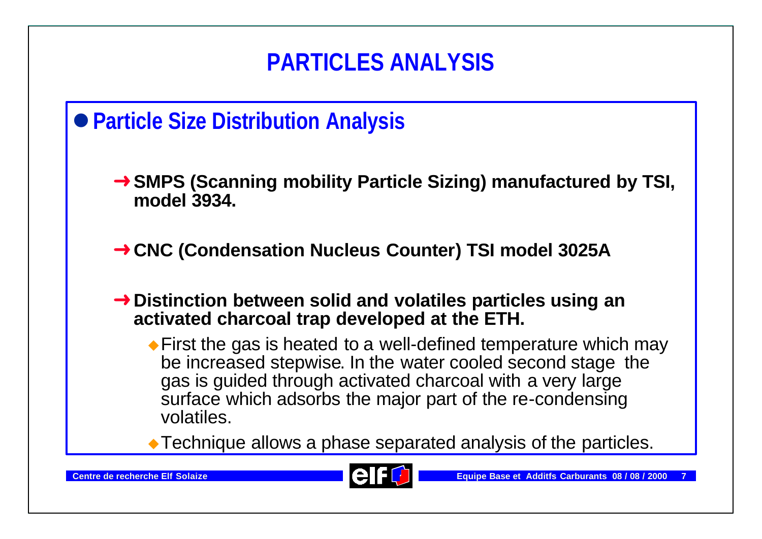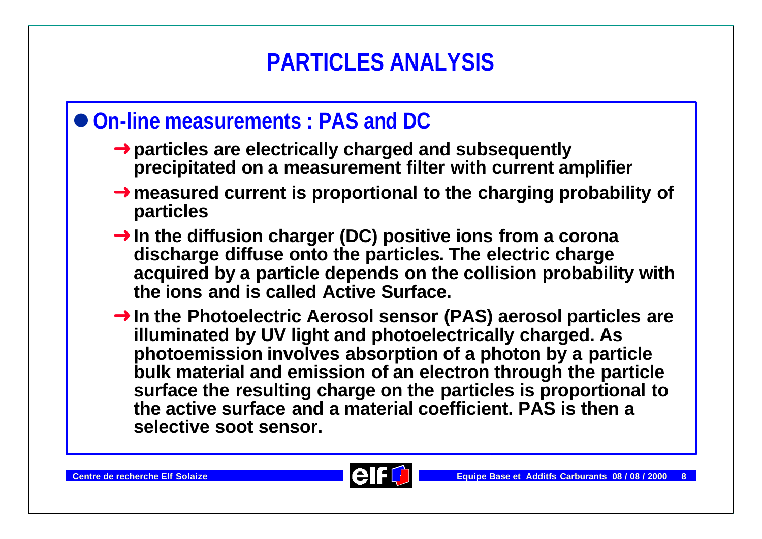# **PARTICLES ANALYSIS**

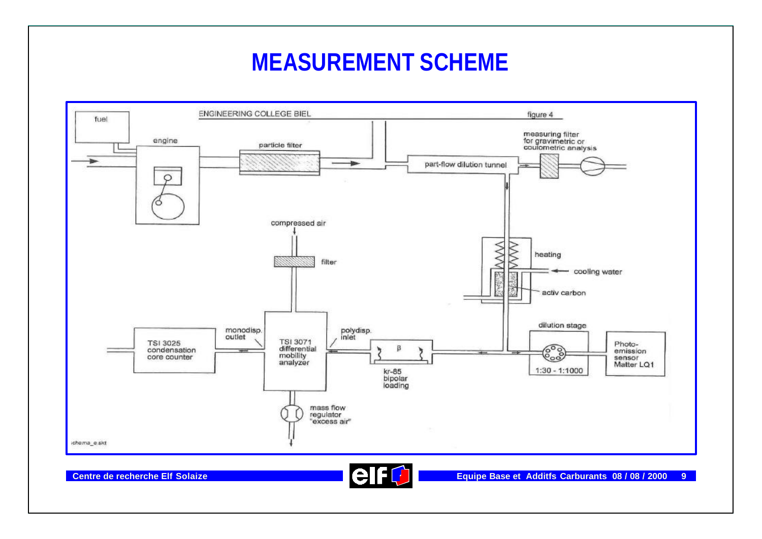### **MEASUREMENT SCHEME**



**Centre de recherche Elf Solaize Equipe Base et Additfs Carburants 08 / 08 / 2000 9**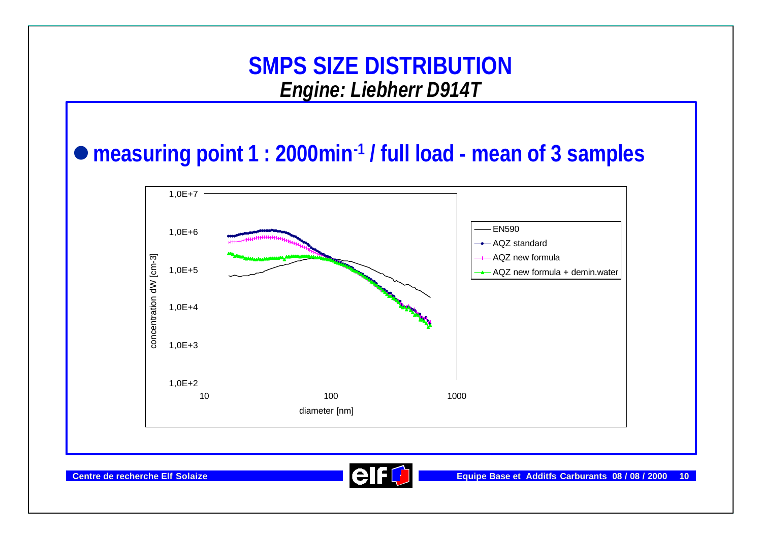### l**measuring point 1 : 2000min-1 / full load - mean of 3 samples**



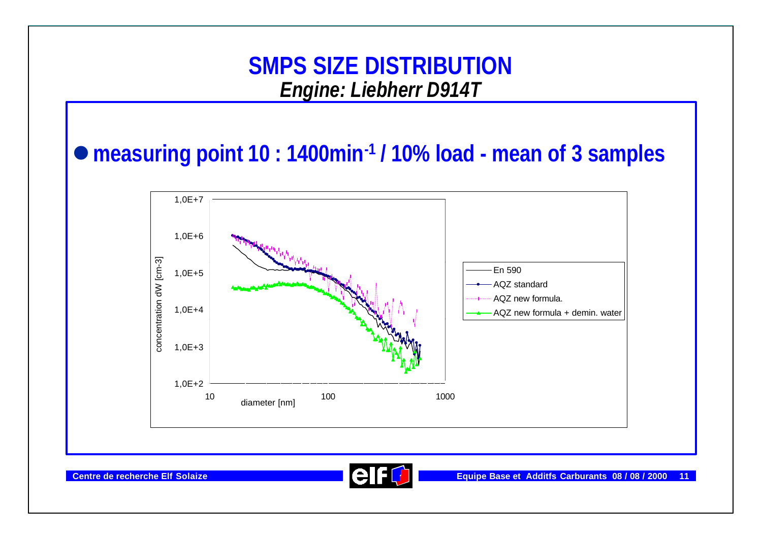### l**measuring point 10 : 1400min-1 / 10% load - mean of 3 samples**



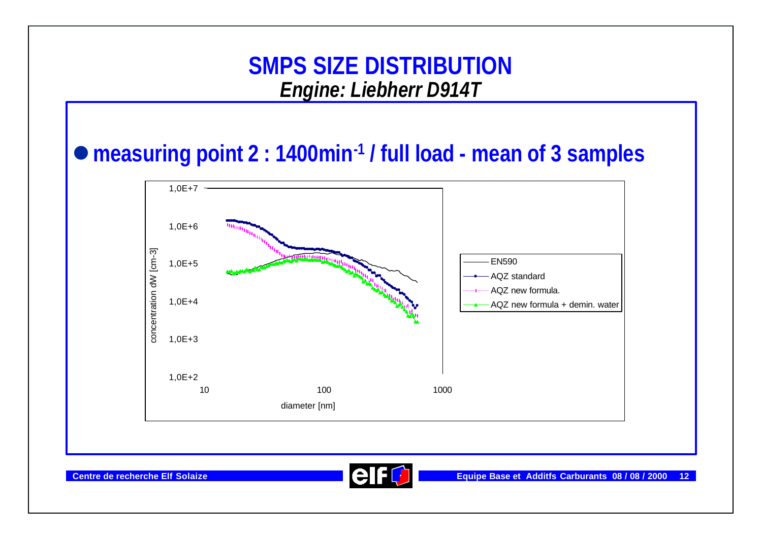#### l**measuring point 2 : 1400min-1 / full load - mean of 3 samples**



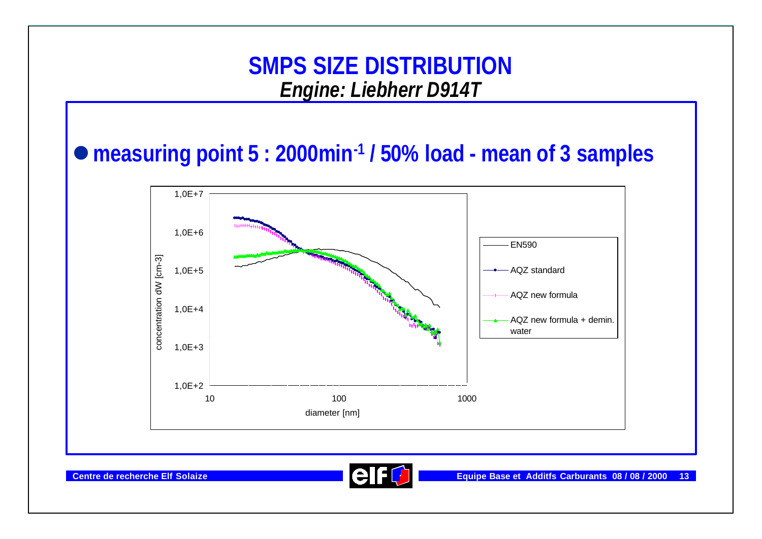#### l**measuring point 5 : 2000min-1 / 50% load - mean of 3 samples**



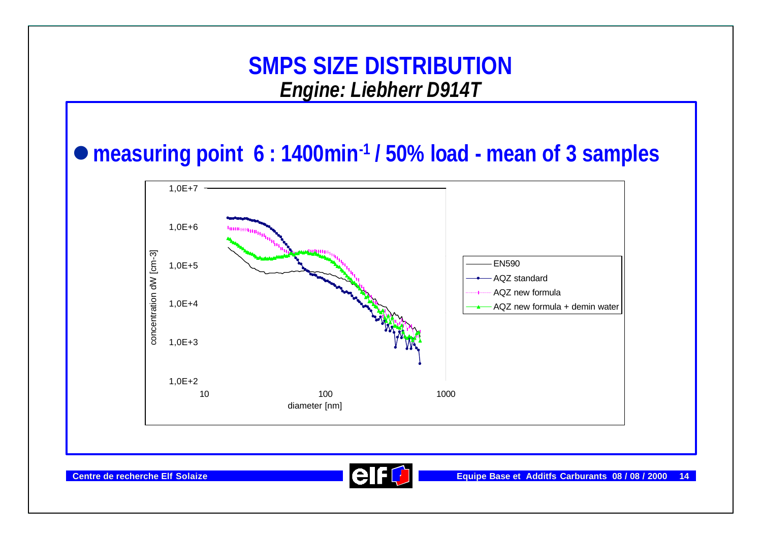#### l**measuring point 6 : 1400min-1 / 50% load - mean of 3 samples**



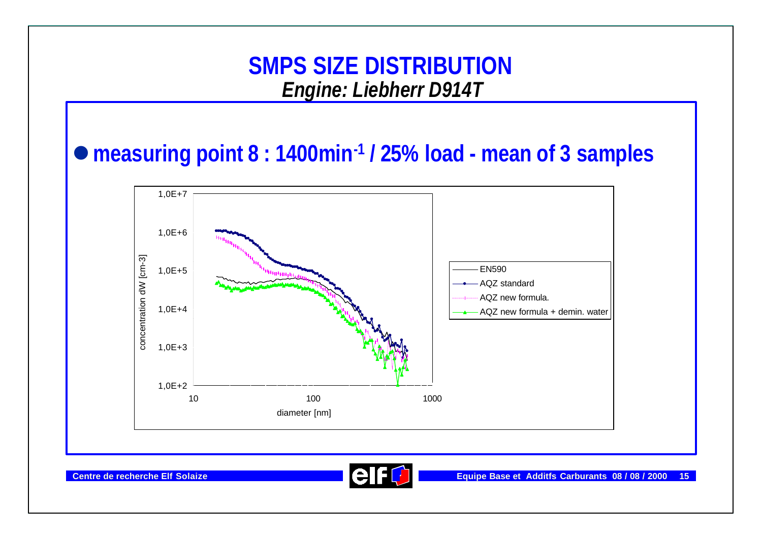#### l**measuring point 8 : 1400min-1 / 25% load - mean of 3 samples**



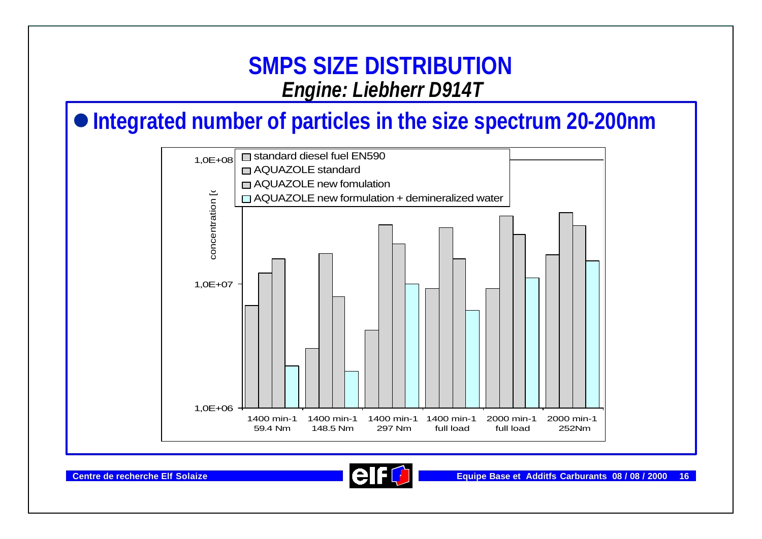### $\bullet$  **Integrated number of particles in the size spectrum 20-200nm**



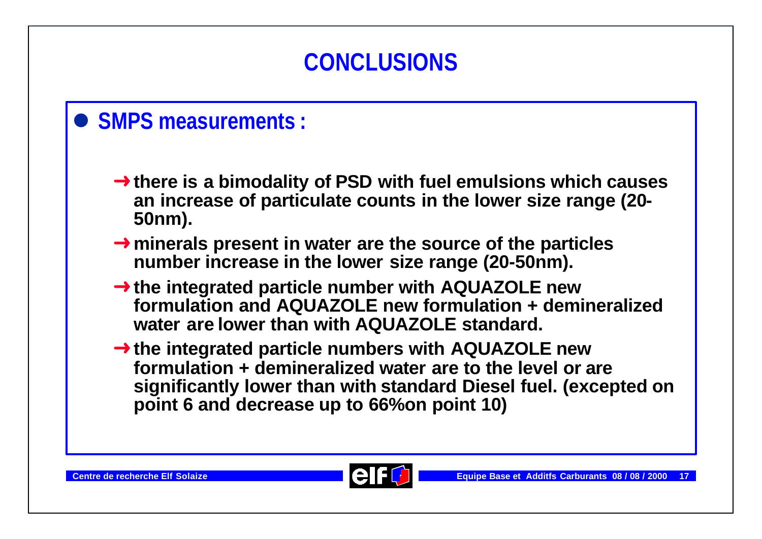

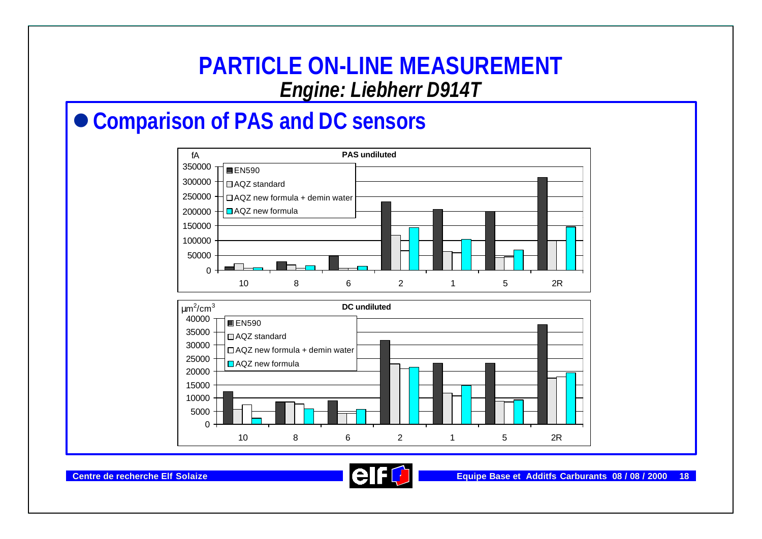#### **PARTICLE ON-LINE MEASUREMENT** *Engine: Liebherr D914T*

### ● Comparison of PAS and DC sensors



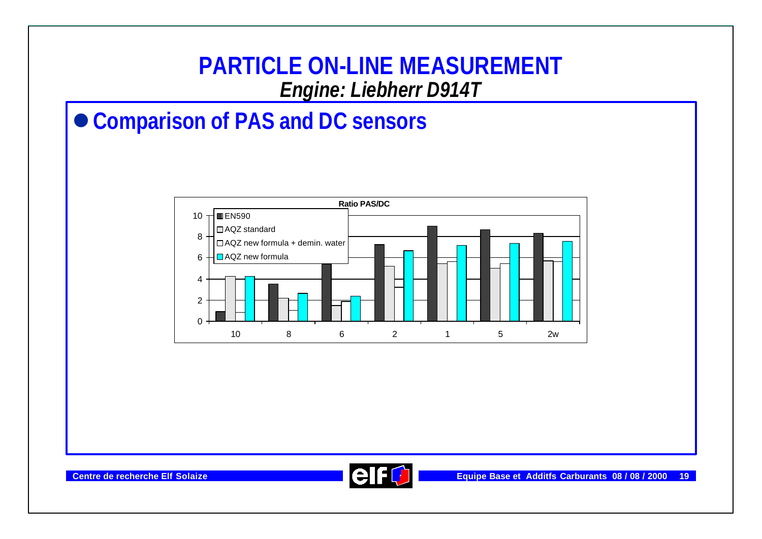

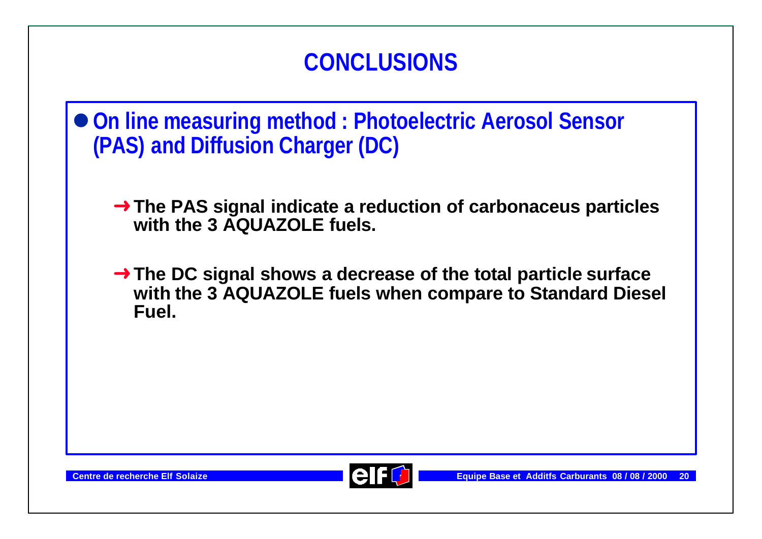

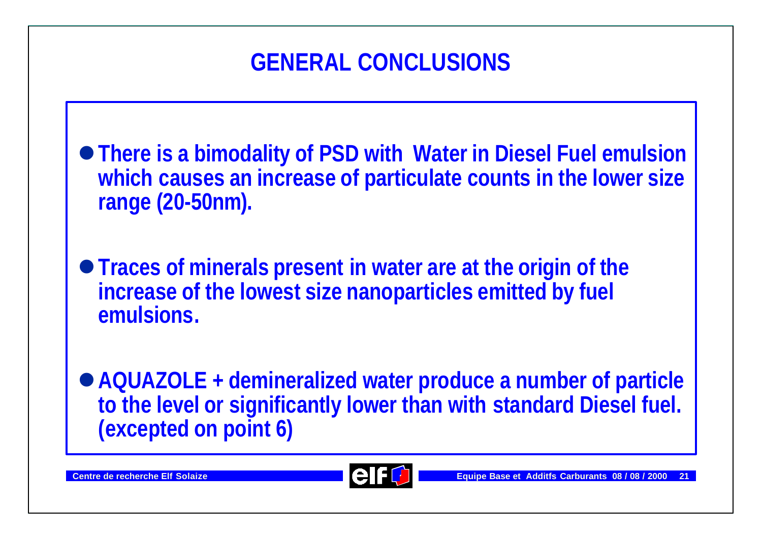# **GENERAL CONCLUSIONS**

- l**There is a bimodality of PSD with Water in Diesel Fuel emulsion which causes an increase of particulate counts in the lower size range (20-50nm).**
- l**Traces of minerals present in water are at the origin of the increase of the lowest size nanoparticles emitted by fuel emulsions.**
- l**AQUAZOLE + demineralized water produce a number of particle to the level or significantly lower than with standard Diesel fuel. (excepted on point 6)**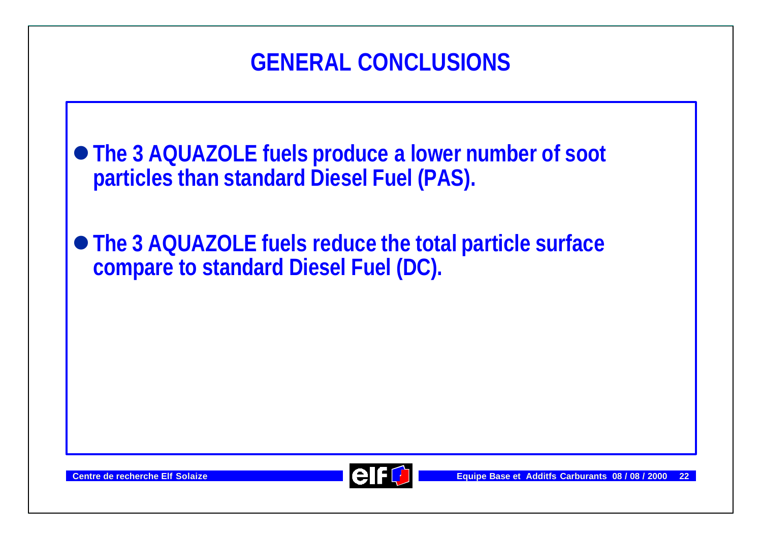